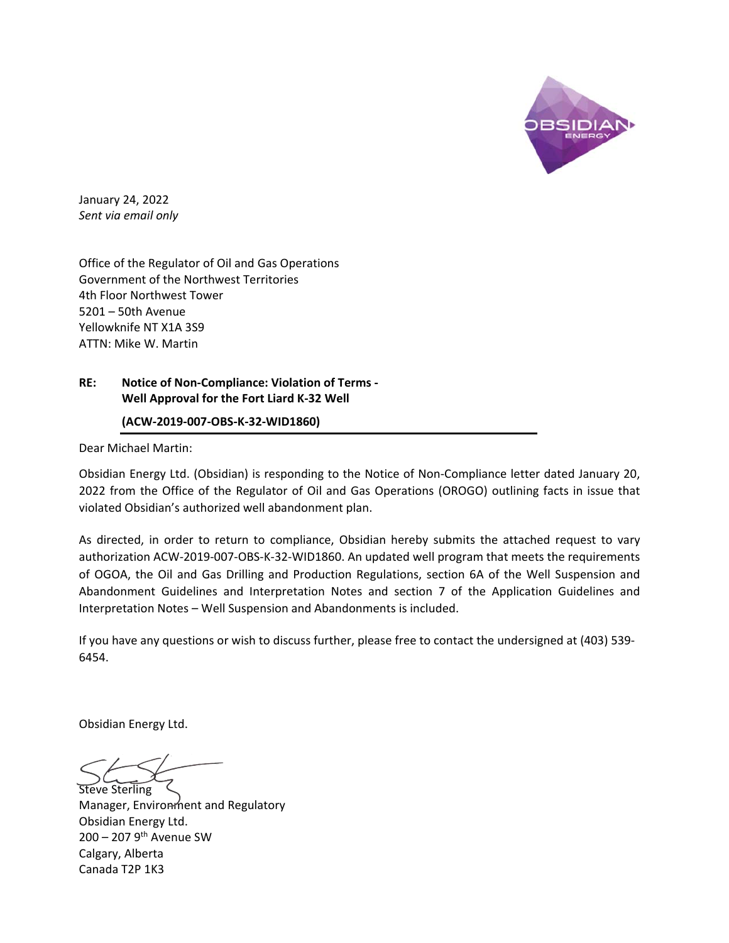

January 24, 2022 *Sent via email only* 

Office of the Regulator of Oil and Gas Operations Government of the Northwest Territories 4th Floor Northwest Tower 5201 – 50th Avenue Yellowknife NT X1A 3S9 ATTN: Mike W. Martin

## **RE: Notice of Non‐Compliance: Violation of Terms ‐ Well Approval for the Fort Liard K‐32 Well**

## **(ACW‐2019‐007‐OBS‐K‐32‐WID1860)**

Dear Michael Martin:

Obsidian Energy Ltd. (Obsidian) is responding to the Notice of Non‐Compliance letter dated January 20, 2022 from the Office of the Regulator of Oil and Gas Operations (OROGO) outlining facts in issue that violated Obsidian's authorized well abandonment plan.

As directed, in order to return to compliance, Obsidian hereby submits the attached request to vary authorization ACW‐2019‐007‐OBS‐K‐32‐WID1860. An updated well program that meets the requirements of OGOA, the Oil and Gas Drilling and Production Regulations, section 6A of the Well Suspension and Abandonment Guidelines and Interpretation Notes and section 7 of the Application Guidelines and Interpretation Notes – Well Suspension and Abandonments is included.

If you have any questions or wish to discuss further, please free to contact the undersigned at (403) 539‐ 6454.

Obsidian Energy Ltd.

Steve Sterling Manager, Environment and Regulatory Obsidian Energy Ltd.  $200 - 2079$ <sup>th</sup> Avenue SW Calgary, Alberta Canada T2P 1K3